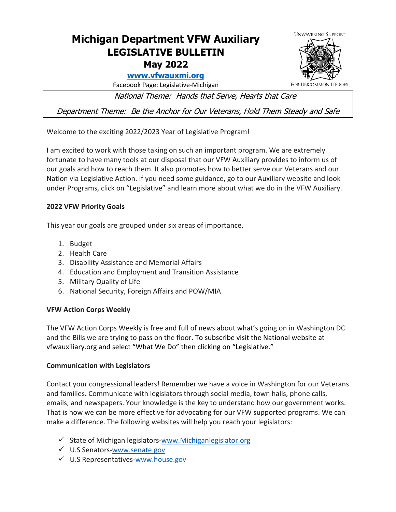# **Michigan Department VFW Auxiliary LEGISLATIVE BULLETIN May 2022**

## **[www.vfwauxmi.org](http://www.vfwauxmi.org/)**

Facebook Page: Legislative-Michigan

National Theme: Hands that Serve, Hearts that Care

Department Theme: Be the Anchor for Our Veterans, Hold Them Steady and Safe

Welcome to the exciting 2022/2023 Year of Legislative Program!

I am excited to work with those taking on such an important program. We are extremely fortunate to have many tools at our disposal that our VFW Auxiliary provides to inform us of our goals and how to reach them. It also promotes how to better serve our Veterans and our Nation via Legislative Action. If you need some guidance, go to our Auxiliary website and look under Programs, click on "Legislative" and learn more about what we do in the VFW Auxiliary.

## **2022 VFW Priority Goals**

This year our goals are grouped under six areas of importance.

- 1. Budget
- 2. Health Care
- 3. Disability Assistance and Memorial Affairs
- 4. Education and Employment and Transition Assistance
- 5. Military Quality of Life
- 6. National Security, Foreign Affairs and POW/MIA

### **VFW Action Corps Weekly**

The VFW Action Corps Weekly is free and full of news about what's going on in Washington DC and the Bills we are trying to pass on the floor. To subscribe visit the National website at vfwauxiliary.org and select "What We Do" then clicking on "Legislative."

### **Communication with Legislators**

Contact your congressional leaders! Remember we have a voice in Washington for our Veterans and families. Communicate with legislators through social media, town halls, phone calls, emails, and newspapers. Your knowledge is the key to understand how our government works. That is how we can be more effective for advocating for our VFW supported programs. We can make a difference. The following websites will help you reach your legislators:

- $\checkmark$  State of Michigan legislators[-www.Michiganlegislator.org](http://www.michiganlegislator.org/)
- U.S Senators[-www.senate.gov](http://www.senate.gov/)
- $\checkmark$  U.S Representatives[-www.house.gov](http://www.house.gov/)



FOR UNCOMMON HEROES"